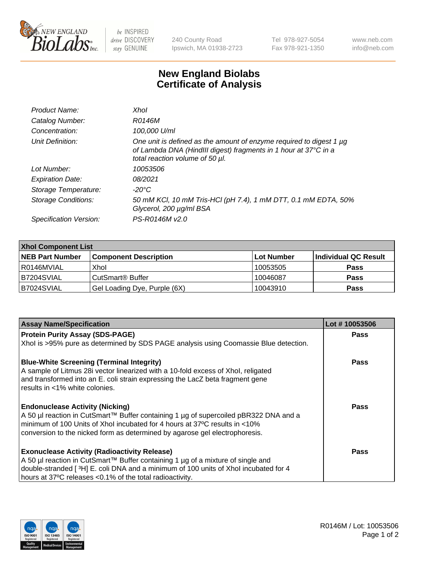

 $be$  INSPIRED drive DISCOVERY stay GENUINE

240 County Road Ipswich, MA 01938-2723 Tel 978-927-5054 Fax 978-921-1350 www.neb.com info@neb.com

## **New England Biolabs Certificate of Analysis**

| Product Name:              | Xhol                                                                                                                                                                      |
|----------------------------|---------------------------------------------------------------------------------------------------------------------------------------------------------------------------|
| Catalog Number:            | R0146M                                                                                                                                                                    |
| Concentration:             | 100,000 U/ml                                                                                                                                                              |
| Unit Definition:           | One unit is defined as the amount of enzyme required to digest 1 µg<br>of Lambda DNA (HindIII digest) fragments in 1 hour at 37°C in a<br>total reaction volume of 50 µl. |
| Lot Number:                | 10053506                                                                                                                                                                  |
| <b>Expiration Date:</b>    | 08/2021                                                                                                                                                                   |
| Storage Temperature:       | -20°C                                                                                                                                                                     |
| <b>Storage Conditions:</b> | 50 mM KCl, 10 mM Tris-HCl (pH 7.4), 1 mM DTT, 0.1 mM EDTA, 50%<br>Glycerol, 200 µg/ml BSA                                                                                 |
| Specification Version:     | PS-R0146M v2.0                                                                                                                                                            |

| <b>Xhol Component List</b> |                              |            |                      |  |  |
|----------------------------|------------------------------|------------|----------------------|--|--|
| <b>NEB Part Number</b>     | <b>Component Description</b> | Lot Number | Individual QC Result |  |  |
| R0146MVIAL                 | Xhol                         | 10053505   | <b>Pass</b>          |  |  |
| IB7204SVIAL                | l CutSmart® Buffer           | 10046087   | <b>Pass</b>          |  |  |
| IB7024SVIAL                | Gel Loading Dye, Purple (6X) | 10043910   | <b>Pass</b>          |  |  |

| <b>Assay Name/Specification</b>                                                      | Lot #10053506 |
|--------------------------------------------------------------------------------------|---------------|
| <b>Protein Purity Assay (SDS-PAGE)</b>                                               | <b>Pass</b>   |
| Xhol is >95% pure as determined by SDS PAGE analysis using Coomassie Blue detection. |               |
| <b>Blue-White Screening (Terminal Integrity)</b>                                     | Pass          |
| A sample of Litmus 28i vector linearized with a 10-fold excess of Xhol, religated    |               |
| and transformed into an E. coli strain expressing the LacZ beta fragment gene        |               |
| results in <1% white colonies.                                                       |               |
| <b>Endonuclease Activity (Nicking)</b>                                               | Pass          |
| A 50 µl reaction in CutSmart™ Buffer containing 1 µg of supercoiled pBR322 DNA and a |               |
| minimum of 100 Units of Xhol incubated for 4 hours at 37°C results in <10%           |               |
| conversion to the nicked form as determined by agarose gel electrophoresis.          |               |
| <b>Exonuclease Activity (Radioactivity Release)</b>                                  | Pass          |
| A 50 µl reaction in CutSmart™ Buffer containing 1 µg of a mixture of single and      |               |
| double-stranded [3H] E. coli DNA and a minimum of 100 units of Xhol incubated for 4  |               |
| hours at 37°C releases <0.1% of the total radioactivity.                             |               |